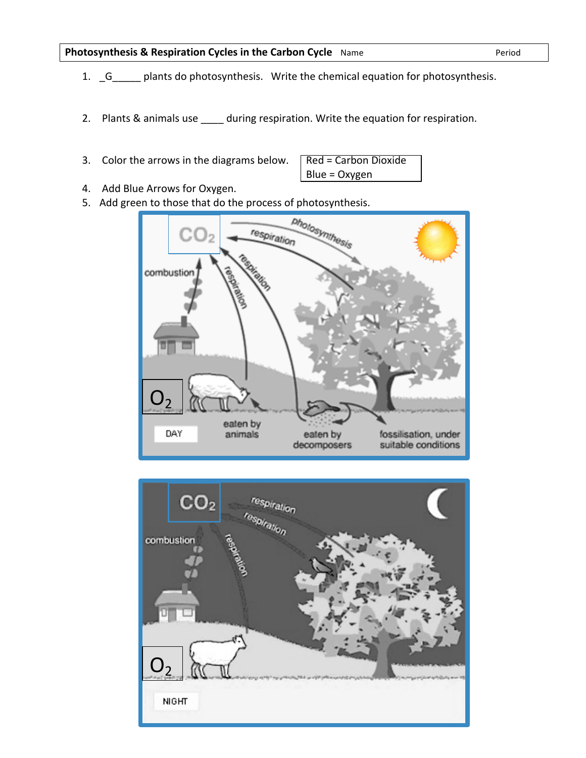## **Photosynthesis & Respiration Cycles in the Carbon Cycle** Name  $P$ eriod

- 1. \_G\_\_\_\_\_ plants do photosynthesis. Write the chemical equation for photosynthesis.
- 2. Plants & animals use \_\_\_\_ during respiration. Write the equation for respiration.
- 3. Color the arrows in the diagrams below.

| Red = Carbon Dioxide |  |
|----------------------|--|
| Blue = Oxygen        |  |

- 4. Add Blue Arrows for Oxygen.
- 5. Add green to those that do the process of photosynthesis.